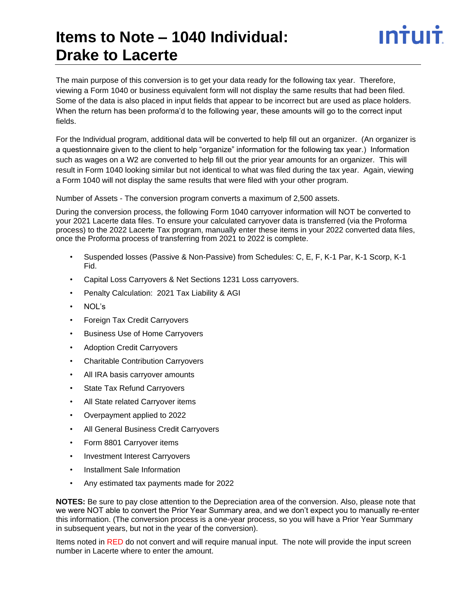### **Items to Note – 1040 Individual: Drake to Lacerte**

The main purpose of this conversion is to get your data ready for the following tax year. Therefore, viewing a Form 1040 or business equivalent form will not display the same results that had been filed. Some of the data is also placed in input fields that appear to be incorrect but are used as place holders. When the return has been proforma'd to the following year, these amounts will go to the correct input fields.

For the Individual program, additional data will be converted to help fill out an organizer. (An organizer is a questionnaire given to the client to help "organize" information for the following tax year.) Information such as wages on a W2 are converted to help fill out the prior year amounts for an organizer. This will result in Form 1040 looking similar but not identical to what was filed during the tax year. Again, viewing a Form 1040 will not display the same results that were filed with your other program.

Number of Assets - The conversion program converts a maximum of 2,500 assets.

During the conversion process, the following Form 1040 carryover information will NOT be converted to your 2021 Lacerte data files. To ensure your calculated carryover data is transferred (via the Proforma process) to the 2022 Lacerte Tax program, manually enter these items in your 2022 converted data files, once the Proforma process of transferring from 2021 to 2022 is complete.

- Suspended losses (Passive & Non-Passive) from Schedules: C, E, F, K-1 Par, K-1 Scorp, K-1 Fid.
- Capital Loss Carryovers & Net Sections 1231 Loss carryovers.
- Penalty Calculation: 2021 Tax Liability & AGI
- NOL's
- Foreign Tax Credit Carryovers
- Business Use of Home Carryovers
- Adoption Credit Carryovers
- Charitable Contribution Carryovers
- All IRA basis carryover amounts
- State Tax Refund Carryovers
- All State related Carryover items
- Overpayment applied to 2022
- All General Business Credit Carryovers
- Form 8801 Carryover items
- Investment Interest Carryovers
- Installment Sale Information
- Any estimated tax payments made for 2022

**NOTES:** Be sure to pay close attention to the Depreciation area of the conversion. Also, please note that we were NOT able to convert the Prior Year Summary area, and we don't expect you to manually re-enter this information. (The conversion process is a one-year process, so you will have a Prior Year Summary in subsequent years, but not in the year of the conversion).

Items noted in RED do not convert and will require manual input. The note will provide the input screen number in Lacerte where to enter the amount.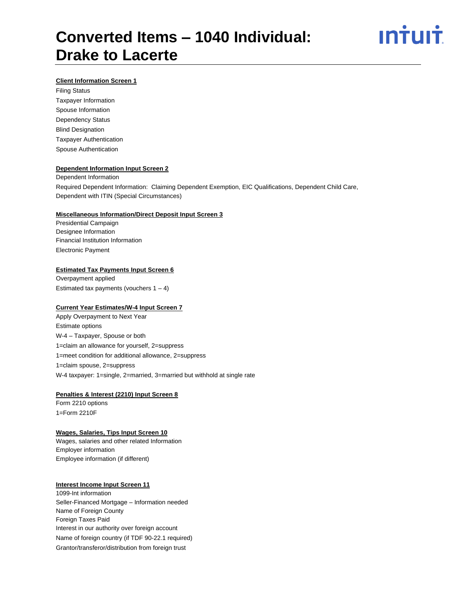

### **Client Information Screen 1**

Filing Status Taxpayer Information Spouse Information Dependency Status Blind Designation Taxpayer Authentication Spouse Authentication

### **Dependent Information Input Screen 2**

Dependent Information Required Dependent Information: Claiming Dependent Exemption, EIC Qualifications, Dependent Child Care, Dependent with ITIN (Special Circumstances)

#### **Miscellaneous Information/Direct Deposit Input Screen 3**

Presidential Campaign Designee Information Financial Institution Information Electronic Payment

### **Estimated Tax Payments Input Screen 6**

Overpayment applied Estimated tax payments (vouchers  $1 - 4$ )

#### **Current Year Estimates/W-4 Input Screen 7**

Apply Overpayment to Next Year Estimate options W-4 – Taxpayer, Spouse or both 1=claim an allowance for yourself, 2=suppress 1=meet condition for additional allowance, 2=suppress 1=claim spouse, 2=suppress W-4 taxpayer: 1=single, 2=married, 3=married but withhold at single rate

### **Penalties & Interest (2210) Input Screen 8**

Form 2210 options 1=Form 2210F

### **Wages, Salaries, Tips Input Screen 10**

Wages, salaries and other related Information Employer information Employee information (if different)

#### **Interest Income Input Screen 11**

1099-Int information Seller-Financed Mortgage – Information needed Name of Foreign County Foreign Taxes Paid Interest in our authority over foreign account Name of foreign country (if TDF 90-22.1 required) Grantor/transferor/distribution from foreign trust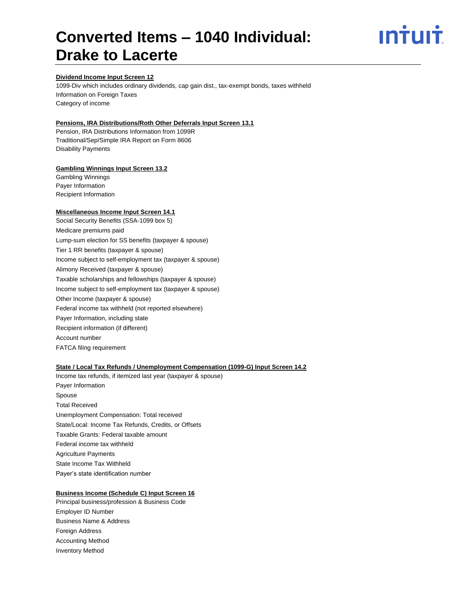ın<del>i</del>uı<del>i</del>

### **Dividend Income Input Screen 12**

1099-Div which includes ordinary dividends, cap gain dist., tax-exempt bonds, taxes withheld Information on Foreign Taxes Category of income

### **Pensions, IRA Distributions/Roth Other Deferrals Input Screen 13.1**

Pension, IRA Distributions Information from 1099R Traditional/Sep/Simple IRA Report on Form 8606 Disability Payments

### **Gambling Winnings Input Screen 13.2**

Gambling Winnings Payer Information Recipient Information

#### **Miscellaneous Income Input Screen 14.1**

Social Security Benefits (SSA-1099 box 5) Medicare premiums paid Lump-sum election for SS benefits (taxpayer & spouse) Tier 1 RR benefits (taxpayer & spouse) Income subject to self-employment tax (taxpayer & spouse) Alimony Received (taxpayer & spouse) Taxable scholarships and fellowships (taxpayer & spouse) Income subject to self-employment tax (taxpayer & spouse) Other Income (taxpayer & spouse) Federal income tax withheld (not reported elsewhere) Payer Information, including state Recipient information (if different) Account number FATCA filing requirement

### **State / Local Tax Refunds / Unemployment Compensation (1099-G) Input Screen 14.2**

Income tax refunds, if itemized last year (taxpayer & spouse) Payer Information Spouse Total Received Unemployment Compensation: Total received State/Local: Income Tax Refunds, Credits, or Offsets Taxable Grants: Federal taxable amount Federal income tax withheld Agriculture Payments State Income Tax Withheld Payer's state identification number

#### **Business Income (Schedule C) Input Screen 16**

Principal business/profession & Business Code Employer ID Number Business Name & Address Foreign Address Accounting Method Inventory Method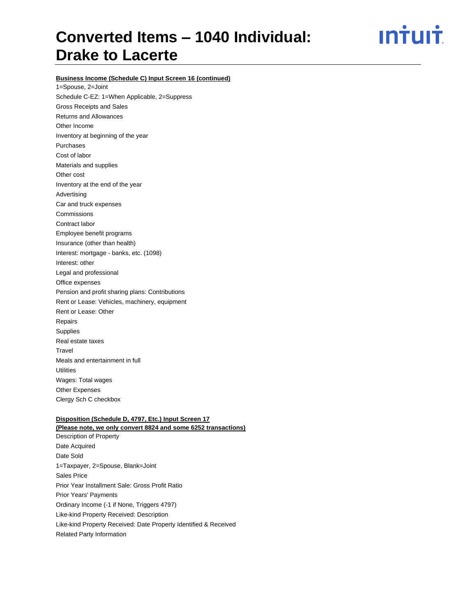ın<del>i</del>uı<del>i</del>

### **Business Income (Schedule C) Input Screen 16 (continued)**

1=Spouse, 2=Joint Schedule C-EZ: 1=When Applicable, 2=Suppress Gross Receipts and Sales Returns and Allowances Other Income Inventory at beginning of the year Purchases Cost of labor Materials and supplies Other cost Inventory at the end of the year Advertising Car and truck expenses Commissions Contract labor Employee benefit programs Insurance (other than health) Interest: mortgage - banks, etc. (1098) Interest: other Legal and professional Office expenses Pension and profit sharing plans: Contributions Rent or Lease: Vehicles, machinery, equipment Rent or Lease: Other Repairs Supplies Real estate taxes **Travel** Meals and entertainment in full **Utilities** Wages: Total wages Other Expenses Clergy Sch C checkbox

### **Disposition (Schedule D, 4797, Etc.) Input Screen 17 (Please note, we only convert 8824 and some 6252 transactions)**

Description of Property Date Acquired Date Sold 1=Taxpayer, 2=Spouse, Blank=Joint Sales Price Prior Year Installment Sale: Gross Profit Ratio Prior Years' Payments Ordinary Income (-1 if None, Triggers 4797) Like-kind Property Received: Description Like-kind Property Received: Date Property Identified & Received Related Party Information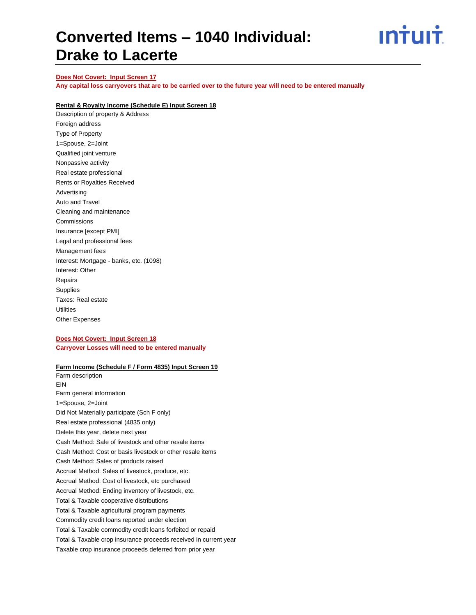

### **Does Not Covert: Input Screen 17**

**Any capital loss carryovers that are to be carried over to the future year will need to be entered manually**

### **Rental & Royalty Income (Schedule E) Input Screen 18**

Description of property & Address Foreign address Type of Property 1=Spouse, 2=Joint Qualified joint venture Nonpassive activity Real estate professional Rents or Royalties Received Advertising Auto and Travel Cleaning and maintenance Commissions Insurance [except PMI] Legal and professional fees Management fees Interest: Mortgage - banks, etc. (1098) Interest: Other Repairs Supplies Taxes: Real estate **Utilities** Other Expenses

### **Does Not Covert: Input Screen 18 Carryover Losses will need to be entered manually**

### **Farm Income (Schedule F / Form 4835) Input Screen 19**

Farm description EIN Farm general information 1=Spouse, 2=Joint Did Not Materially participate (Sch F only) Real estate professional (4835 only) Delete this year, delete next year Cash Method: Sale of livestock and other resale items Cash Method: Cost or basis livestock or other resale items Cash Method: Sales of products raised Accrual Method: Sales of livestock, produce, etc. Accrual Method: Cost of livestock, etc purchased Accrual Method: Ending inventory of livestock, etc. Total & Taxable cooperative distributions Total & Taxable agricultural program payments Commodity credit loans reported under election Total & Taxable commodity credit loans forfeited or repaid Total & Taxable crop insurance proceeds received in current year Taxable crop insurance proceeds deferred from prior year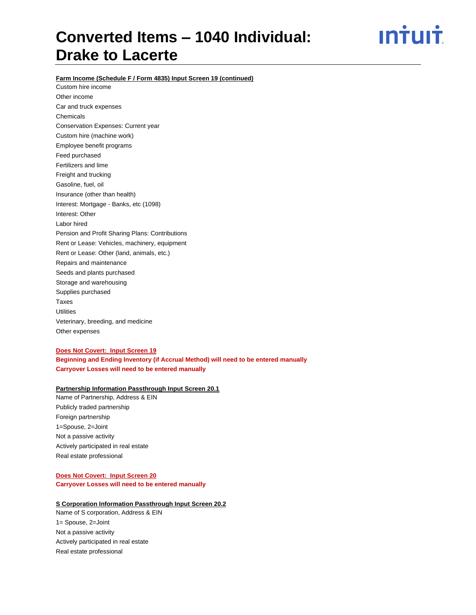<u>ıntuıt</u>

**Farm Income (Schedule F / Form 4835) Input Screen 19 (continued)**

Custom hire income Other income Car and truck expenses Chemicals Conservation Expenses: Current year Custom hire (machine work) Employee benefit programs Feed purchased Fertilizers and lime Freight and trucking Gasoline, fuel, oil Insurance (other than health) Interest: Mortgage - Banks, etc (1098) Interest: Other Labor hired Pension and Profit Sharing Plans: Contributions Rent or Lease: Vehicles, machinery, equipment Rent or Lease: Other (land, animals, etc.) Repairs and maintenance Seeds and plants purchased Storage and warehousing Supplies purchased Taxes **Utilities** Veterinary, breeding, and medicine Other expenses

### **Does Not Covert: Input Screen 19 Beginning and Ending Inventory (if Accrual Method) will need to be entered manually Carryover Losses will need to be entered manually**

### **Partnership Information Passthrough Input Screen 20.1**

Name of Partnership, Address & EIN Publicly traded partnership Foreign partnership 1=Spouse, 2=Joint Not a passive activity Actively participated in real estate Real estate professional

### **Does Not Covert: Input Screen 20**

**Carryover Losses will need to be entered manually**

### **S Corporation Information Passthrough Input Screen 20.2**

Name of S corporation, Address & EIN 1= Spouse, 2=Joint Not a passive activity Actively participated in real estate Real estate professional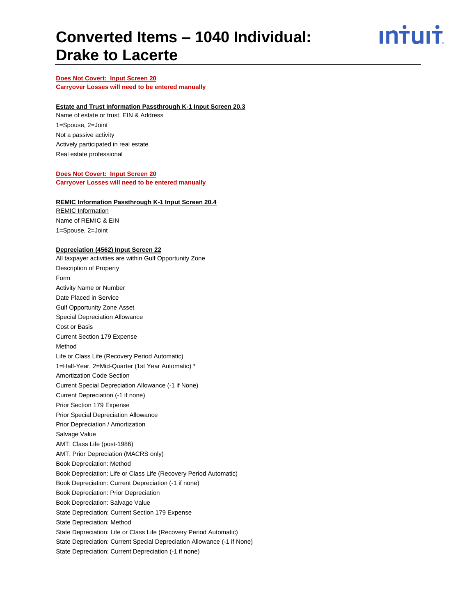ın†uı†

### **Does Not Covert: Input Screen 20 Carryover Losses will need to be entered manually**

#### **Estate and Trust Information Passthrough K-1 Input Screen 20.3**

Name of estate or trust, EIN & Address 1=Spouse, 2=Joint Not a passive activity Actively participated in real estate Real estate professional

### **Does Not Covert: Input Screen 20**

**Carryover Losses will need to be entered manually**

### **REMIC Information Passthrough K-1 Input Screen 20.4**

REMIC Information Name of REMIC & EIN 1=Spouse, 2=Joint

#### **Depreciation (4562) Input Screen 22**

All taxpayer activities are within Gulf Opportunity Zone Description of Property Form Activity Name or Number Date Placed in Service Gulf Opportunity Zone Asset Special Depreciation Allowance Cost or Basis Current Section 179 Expense Method Life or Class Life (Recovery Period Automatic) 1=Half-Year, 2=Mid-Quarter (1st Year Automatic) \* Amortization Code Section Current Special Depreciation Allowance (-1 if None) Current Depreciation (-1 if none) Prior Section 179 Expense Prior Special Depreciation Allowance Prior Depreciation / Amortization Salvage Value AMT: Class Life (post-1986) AMT: Prior Depreciation (MACRS only) Book Depreciation: Method Book Depreciation: Life or Class Life (Recovery Period Automatic) Book Depreciation: Current Depreciation (-1 if none) Book Depreciation: Prior Depreciation Book Depreciation: Salvage Value State Depreciation: Current Section 179 Expense State Depreciation: Method State Depreciation: Life or Class Life (Recovery Period Automatic) State Depreciation: Current Special Depreciation Allowance (-1 if None) State Depreciation: Current Depreciation (-1 if none)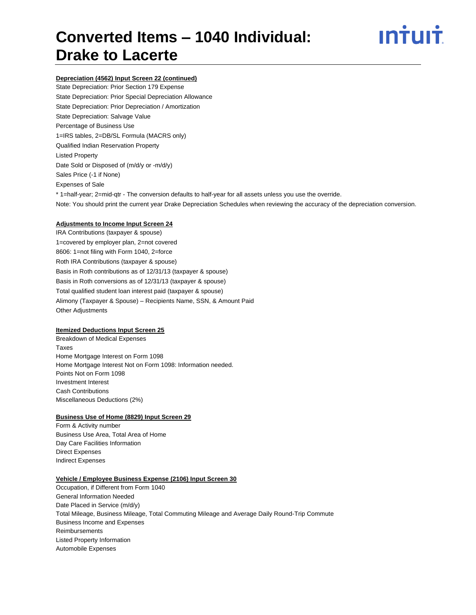

### **Depreciation (4562) Input Screen 22 (continued)**

State Depreciation: Prior Section 179 Expense State Depreciation: Prior Special Depreciation Allowance State Depreciation: Prior Depreciation / Amortization State Depreciation: Salvage Value Percentage of Business Use 1=IRS tables, 2=DB/SL Formula (MACRS only) Qualified Indian Reservation Property Listed Property Date Sold or Disposed of (m/d/y or -m/d/y) Sales Price (-1 if None) Expenses of Sale \* 1=half-year; 2=mid-qtr - The conversion defaults to half-year for all assets unless you use the override. Note: You should print the current year Drake Depreciation Schedules when reviewing the accuracy of the depreciation conversion.

### **Adjustments to Income Input Screen 24**

IRA Contributions (taxpayer & spouse) 1=covered by employer plan, 2=not covered 8606: 1=not filing with Form 1040, 2=force Roth IRA Contributions (taxpayer & spouse) Basis in Roth contributions as of 12/31/13 (taxpayer & spouse) Basis in Roth conversions as of 12/31/13 (taxpayer & spouse) Total qualified student loan interest paid (taxpayer & spouse) Alimony (Taxpayer & Spouse) – Recipients Name, SSN, & Amount Paid Other Adjustments

#### **Itemized Deductions Input Screen 25**

Breakdown of Medical Expenses Taxes Home Mortgage Interest on Form 1098 Home Mortgage Interest Not on Form 1098: Information needed. Points Not on Form 1098 Investment Interest Cash Contributions Miscellaneous Deductions (2%)

#### **Business Use of Home (8829) Input Screen 29**

Form & Activity number Business Use Area, Total Area of Home Day Care Facilities Information Direct Expenses Indirect Expenses

### **Vehicle / Employee Business Expense (2106) Input Screen 30**

Occupation, if Different from Form 1040 General Information Needed Date Placed in Service (m/d/y) Total Mileage, Business Mileage, Total Commuting Mileage and Average Daily Round-Trip Commute Business Income and Expenses **Reimbursements** Listed Property Information Automobile Expenses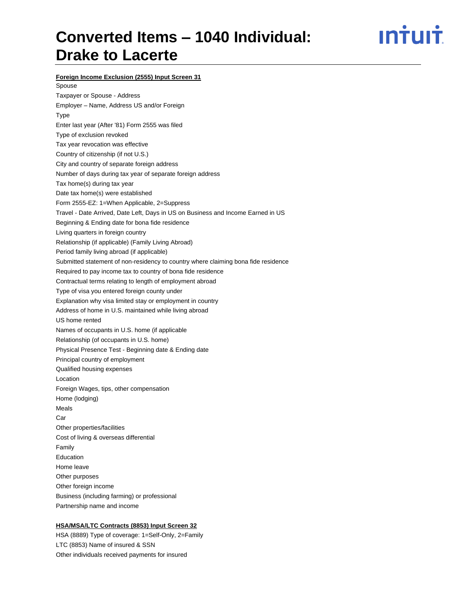## ın†uı†

**Foreign Income Exclusion (2555) Input Screen 31**

Spouse Taxpayer or Spouse - Address Employer – Name, Address US and/or Foreign Type Enter last year (After '81) Form 2555 was filed Type of exclusion revoked Tax year revocation was effective Country of citizenship (if not U.S.) City and country of separate foreign address Number of days during tax year of separate foreign address Tax home(s) during tax year Date tax home(s) were established Form 2555-EZ: 1=When Applicable, 2=Suppress Travel - Date Arrived, Date Left, Days in US on Business and Income Earned in US Beginning & Ending date for bona fide residence Living quarters in foreign country Relationship (if applicable) (Family Living Abroad) Period family living abroad (if applicable) Submitted statement of non-residency to country where claiming bona fide residence Required to pay income tax to country of bona fide residence Contractual terms relating to length of employment abroad Type of visa you entered foreign county under Explanation why visa limited stay or employment in country Address of home in U.S. maintained while living abroad US home rented Names of occupants in U.S. home (if applicable Relationship (of occupants in U.S. home) Physical Presence Test - Beginning date & Ending date Principal country of employment Qualified housing expenses Location Foreign Wages, tips, other compensation Home (lodging) Meals Car Other properties/facilities Cost of living & overseas differential Family Education Home leave Other purposes Other foreign income Business (including farming) or professional Partnership name and income

### **HSA/MSA/LTC Contracts (8853) Input Screen 32**

HSA (8889) Type of coverage: 1=Self-Only, 2=Family LTC (8853) Name of insured & SSN Other individuals received payments for insured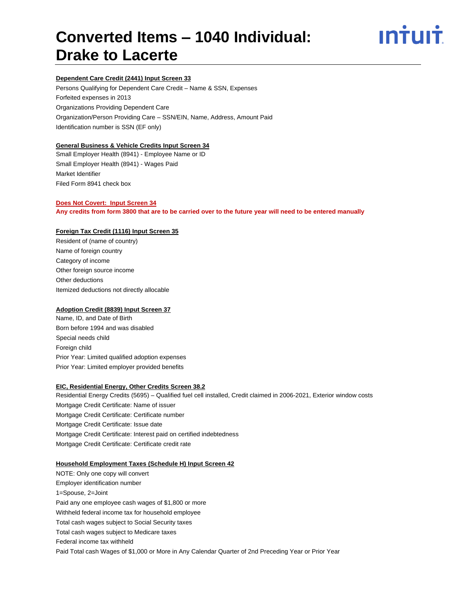

### **Dependent Care Credit (2441) Input Screen 33**

Persons Qualifying for Dependent Care Credit – Name & SSN, Expenses Forfeited expenses in 2013 Organizations Providing Dependent Care Organization/Person Providing Care – SSN/EIN, Name, Address, Amount Paid Identification number is SSN (EF only)

### **General Business & Vehicle Credits Input Screen 34**

Small Employer Health (8941) - Employee Name or ID Small Employer Health (8941) - Wages Paid Market Identifier Filed Form 8941 check box

### **Does Not Covert: Input Screen 34**

**Any credits from form 3800 that are to be carried over to the future year will need to be entered manually**

#### **Foreign Tax Credit (1116) Input Screen 35**

Resident of (name of country) Name of foreign country Category of income Other foreign source income Other deductions Itemized deductions not directly allocable

### **Adoption Credit (8839) Input Screen 37**

Name, ID, and Date of Birth Born before 1994 and was disabled Special needs child Foreign child Prior Year: Limited qualified adoption expenses Prior Year: Limited employer provided benefits

#### **EIC, Residential Energy, Other Credits Screen 38.2**

Residential Energy Credits (5695) – Qualified fuel cell installed, Credit claimed in 2006-2021, Exterior window costs Mortgage Credit Certificate: Name of issuer Mortgage Credit Certificate: Certificate number Mortgage Credit Certificate: Issue date Mortgage Credit Certificate: Interest paid on certified indebtedness Mortgage Credit Certificate: Certificate credit rate

#### **Household Employment Taxes (Schedule H) Input Screen 42**

NOTE: Only one copy will convert Employer identification number 1=Spouse, 2=Joint Paid any one employee cash wages of \$1,800 or more Withheld federal income tax for household employee Total cash wages subject to Social Security taxes Total cash wages subject to Medicare taxes Federal income tax withheld Paid Total cash Wages of \$1,000 or More in Any Calendar Quarter of 2nd Preceding Year or Prior Year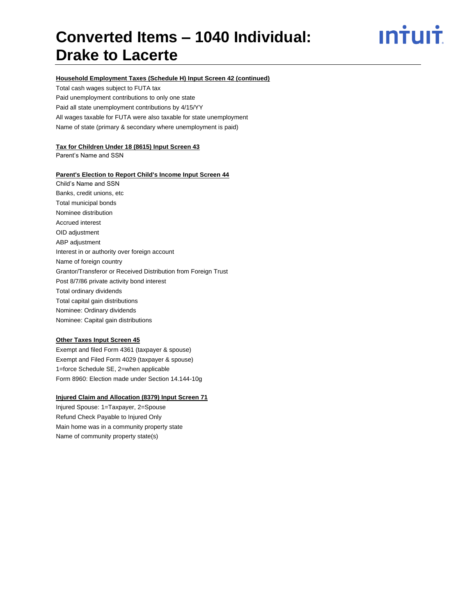## <u>**Intuit**</u>

#### **Household Employment Taxes (Schedule H) Input Screen 42 (continued)**

Total cash wages subject to FUTA tax Paid unemployment contributions to only one state Paid all state unemployment contributions by 4/15/YY All wages taxable for FUTA were also taxable for state unemployment Name of state (primary & secondary where unemployment is paid)

#### **Tax for Children Under 18 (8615) Input Screen 43**

Parent's Name and SSN

### **Parent's Election to Report Child's Income Input Screen 44**

Child's Name and SSN Banks, credit unions, etc Total municipal bonds Nominee distribution Accrued interest OID adjustment ABP adjustment Interest in or authority over foreign account Name of foreign country Grantor/Transferor or Received Distribution from Foreign Trust Post 8/7/86 private activity bond interest Total ordinary dividends Total capital gain distributions Nominee: Ordinary dividends Nominee: Capital gain distributions

### **Other Taxes Input Screen 45**

Exempt and filed Form 4361 (taxpayer & spouse) Exempt and Filed Form 4029 (taxpayer & spouse) 1=force Schedule SE, 2=when applicable Form 8960: Election made under Section 14.144-10g

### **Injured Claim and Allocation (8379) Input Screen 71**

Injured Spouse: 1=Taxpayer, 2=Spouse Refund Check Payable to Injured Only Main home was in a community property state Name of community property state(s)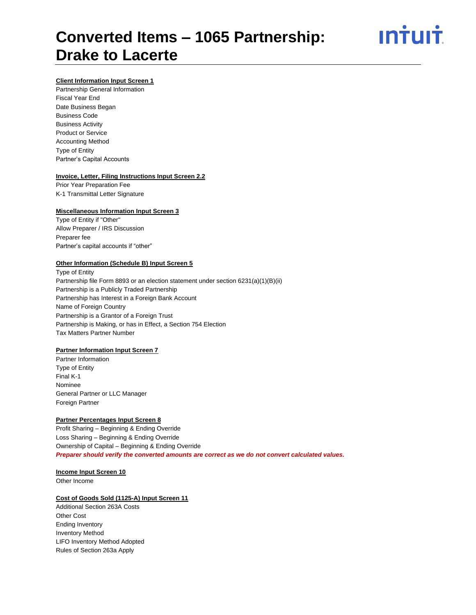# ın<del>i</del>uı<del>i</del>

### **Client Information Input Screen 1**

Partnership General Information Fiscal Year End Date Business Began Business Code Business Activity Product or Service Accounting Method Type of Entity Partner's Capital Accounts

### **Invoice, Letter, Filing Instructions Input Screen 2.2**

Prior Year Preparation Fee K-1 Transmittal Letter Signature

### **Miscellaneous Information Input Screen 3**

Type of Entity if "Other" Allow Preparer / IRS Discussion Preparer fee Partner's capital accounts if "other"

### **Other Information (Schedule B) Input Screen 5**

Type of Entity Partnership file Form 8893 or an election statement under section 6231(a)(1)(B)(ii) Partnership is a Publicly Traded Partnership Partnership has Interest in a Foreign Bank Account Name of Foreign Country Partnership is a Grantor of a Foreign Trust Partnership is Making, or has in Effect, a Section 754 Election Tax Matters Partner Number

### **Partner Information Input Screen 7**

Partner Information Type of Entity Final K-1 Nominee General Partner or LLC Manager Foreign Partner

### **Partner Percentages Input Screen 8**

Profit Sharing – Beginning & Ending Override Loss Sharing – Beginning & Ending Override Ownership of Capital – Beginning & Ending Override *Preparer should verify the converted amounts are correct as we do not convert calculated values.*

### **Income Input Screen 10**

Other Income

### **Cost of Goods Sold (1125-A) Input Screen 11**

Additional Section 263A Costs Other Cost Ending Inventory Inventory Method LIFO Inventory Method Adopted Rules of Section 263a Apply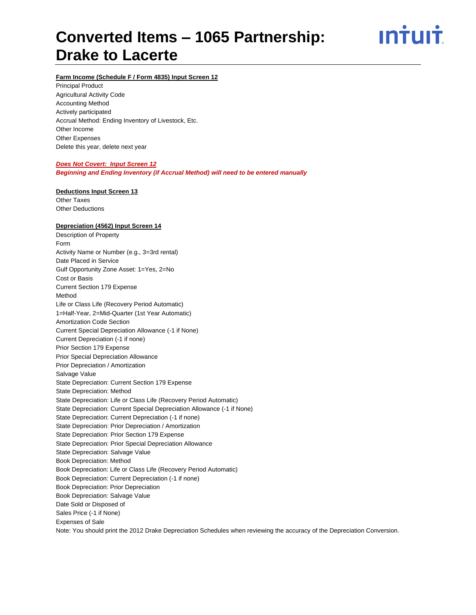ın<del>i</del>uı<del>i</del>

### **Farm Income (Schedule F / Form 4835) Input Screen 12**

Principal Product Agricultural Activity Code Accounting Method Actively participated Accrual Method: Ending Inventory of Livestock, Etc. Other Income Other Expenses Delete this year, delete next year

### *Does Not Covert: Input Screen 12*

*Beginning and Ending Inventory (if Accrual Method) will need to be entered manually*

### **Deductions Input Screen 13**

Other Taxes Other Deductions

### **Depreciation (4562) Input Screen 14**

Description of Property Form Activity Name or Number (e.g., 3=3rd rental) Date Placed in Service Gulf Opportunity Zone Asset: 1=Yes, 2=No Cost or Basis Current Section 179 Expense Method Life or Class Life (Recovery Period Automatic) 1=Half-Year, 2=Mid-Quarter (1st Year Automatic) Amortization Code Section Current Special Depreciation Allowance (-1 if None) Current Depreciation (-1 if none) Prior Section 179 Expense Prior Special Depreciation Allowance Prior Depreciation / Amortization Salvage Value State Depreciation: Current Section 179 Expense State Depreciation: Method State Depreciation: Life or Class Life (Recovery Period Automatic) State Depreciation: Current Special Depreciation Allowance (-1 if None) State Depreciation: Current Depreciation (-1 if none) State Depreciation: Prior Depreciation / Amortization State Depreciation: Prior Section 179 Expense State Depreciation: Prior Special Depreciation Allowance State Depreciation: Salvage Value Book Depreciation: Method Book Depreciation: Life or Class Life (Recovery Period Automatic) Book Depreciation: Current Depreciation (-1 if none) Book Depreciation: Prior Depreciation Book Depreciation: Salvage Value Date Sold or Disposed of Sales Price (-1 if None) Expenses of Sale Note: You should print the 2012 Drake Depreciation Schedules when reviewing the accuracy of the Depreciation Conversion.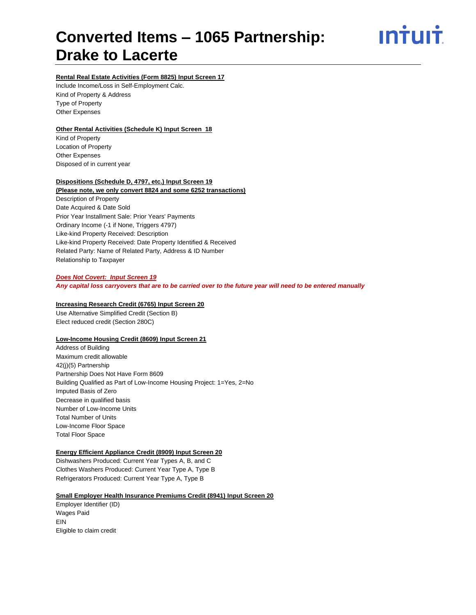ın<del>i</del>uı<del>i</del>

### **Rental Real Estate Activities (Form 8825) Input Screen 17**

Include Income/Loss in Self-Employment Calc. Kind of Property & Address Type of Property Other Expenses

### **Other Rental Activities (Schedule K) Input Screen 18**

Kind of Property Location of Property Other Expenses Disposed of in current year

### **Dispositions (Schedule D, 4797, etc.) Input Screen 19**

### **(Please note, we only convert 8824 and some 6252 transactions)**

Description of Property Date Acquired & Date Sold Prior Year Installment Sale: Prior Years' Payments Ordinary Income (-1 if None, Triggers 4797) Like-kind Property Received: Description Like-kind Property Received: Date Property Identified & Received Related Party: Name of Related Party, Address & ID Number Relationship to Taxpayer

#### *Does Not Covert: Input Screen 19*

*Any capital loss carryovers that are to be carried over to the future year will need to be entered manually*

#### **Increasing Research Credit (6765) Input Screen 20**

Use Alternative Simplified Credit (Section B) Elect reduced credit (Section 280C)

### **Low-Income Housing Credit (8609) Input Screen 21**

Address of Building Maximum credit allowable 42(j)(5) Partnership Partnership Does Not Have Form 8609 Building Qualified as Part of Low-Income Housing Project: 1=Yes, 2=No Imputed Basis of Zero Decrease in qualified basis Number of Low-Income Units Total Number of Units Low-Income Floor Space Total Floor Space

### **Energy Efficient Appliance Credit (8909) Input Screen 20**

Dishwashers Produced: Current Year Types A, B, and C Clothes Washers Produced: Current Year Type A, Type B Refrigerators Produced: Current Year Type A, Type B

### **Small Employer Health Insurance Premiums Credit (8941) Input Screen 20**

Employer Identifier (ID) Wages Paid EIN Eligible to claim credit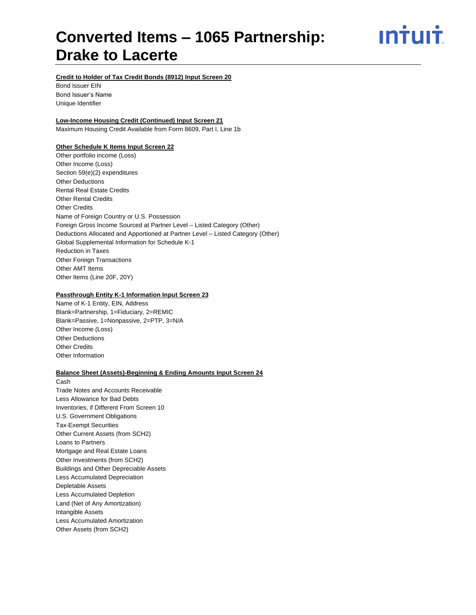<u>**Intuit**</u>

**Credit to Holder of Tax Credit Bonds (8912) Input Screen 20**

Bond Issuer EIN Bond Issuer's Name Unique Identifier

### **Low-Income Housing Credit (Continued) Input Screen 21**

Maximum Housing Credit Available from Form 8609, Part I, Line 1b

### **Other Schedule K Items Input Screen 22**

Other portfolio income (Loss) Other Income (Loss) Section 59(e)(2) expenditures Other Deductions Rental Real Estate Credits Other Rental Credits Other Credits Name of Foreign Country or U.S. Possession Foreign Gross Income Sourced at Partner Level – Listed Category (Other) Deductions Allocated and Apportioned at Partner Level – Listed Category (Other) Global Supplemental Information for Schedule K-1 Reduction in Taxes Other Foreign Transactions Other AMT Items Other Items (Line 20F, 20Y)

### **Passthrough Entity K-1 Information Input Screen 23**

Name of K-1 Entity, EIN, Address Blank=Partnership, 1=Fiduciary, 2=REMIC Blank=Passive, 1=Nonpassive, 2=PTP, 3=N/A Other Income (Loss) Other Deductions Other Credits Other Information

### **Balance Sheet (Assets)-Beginning & Ending Amounts Input Screen 24**

Cash Trade Notes and Accounts Receivable Less Allowance for Bad Debts Inventories, if Different From Screen 10 U.S. Government Obligations Tax-Exempt Securities Other Current Assets (from SCH2) Loans to Partners Mortgage and Real Estate Loans Other Investments (from SCH2) Buildings and Other Depreciable Assets Less Accumulated Depreciation Depletable Assets Less Accumulated Depletion Land (Net of Any Amortization) Intangible Assets Less Accumulated Amortization Other Assets (from SCH2)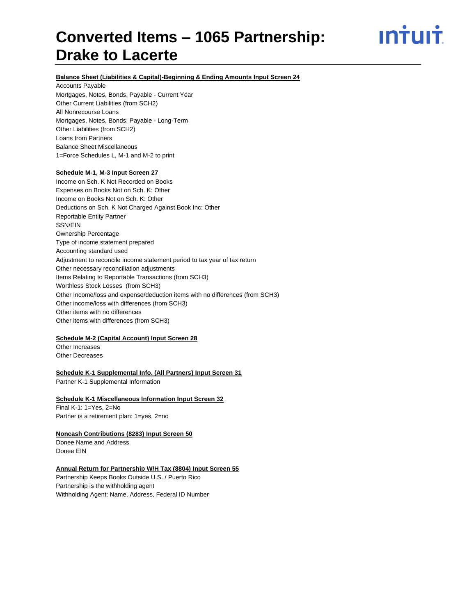<u>ıntuıt</u>

### **Balance Sheet (Liabilities & Capital)-Beginning & Ending Amounts Input Screen 24**

Accounts Payable

Mortgages, Notes, Bonds, Payable - Current Year Other Current Liabilities (from SCH2) All Nonrecourse Loans Mortgages, Notes, Bonds, Payable - Long-Term Other Liabilities (from SCH2) Loans from Partners Balance Sheet Miscellaneous 1=Force Schedules L, M-1 and M-2 to print

### **Schedule M-1, M-3 Input Screen 27**

Income on Sch. K Not Recorded on Books Expenses on Books Not on Sch. K: Other Income on Books Not on Sch. K: Other Deductions on Sch. K Not Charged Against Book Inc: Other Reportable Entity Partner SSN/EIN Ownership Percentage Type of income statement prepared Accounting standard used Adjustment to reconcile income statement period to tax year of tax return Other necessary reconciliation adjustments Items Relating to Reportable Transactions (from SCH3) Worthless Stock Losses (from SCH3) Other Income/loss and expense/deduction items with no differences (from SCH3) Other income/loss with differences (from SCH3) Other items with no differences Other items with differences (from SCH3)

### **Schedule M-2 (Capital Account) Input Screen 28**

Other Increases Other Decreases

#### **Schedule K-1 Supplemental Info. (All Partners) Input Screen 31**

Partner K-1 Supplemental Information

### **Schedule K-1 Miscellaneous Information Input Screen 32** Final K-1: 1=Yes, 2=No

Partner is a retirement plan: 1=yes, 2=no

### **Noncash Contributions (8283) Input Screen 50**

Donee Name and Address Donee EIN

#### **Annual Return for Partnership W/H Tax (8804) Input Screen 55**

Partnership Keeps Books Outside U.S. / Puerto Rico Partnership is the withholding agent Withholding Agent: Name, Address, Federal ID Number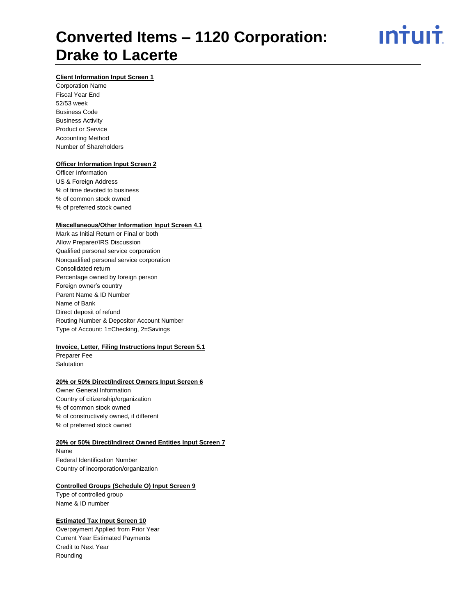<u>ıntuıt</u>

### **Client Information Input Screen 1**

Corporation Name Fiscal Year End 52/53 week Business Code Business Activity Product or Service Accounting Method Number of Shareholders

### **Officer Information Input Screen 2**

Officer Information US & Foreign Address % of time devoted to business % of common stock owned % of preferred stock owned

#### **Miscellaneous/Other Information Input Screen 4.1**

Mark as Initial Return or Final or both Allow Preparer/IRS Discussion Qualified personal service corporation Nonqualified personal service corporation Consolidated return Percentage owned by foreign person Foreign owner's country Parent Name & ID Number Name of Bank Direct deposit of refund Routing Number & Depositor Account Number Type of Account: 1=Checking, 2=Savings

### **Invoice, Letter, Filing Instructions Input Screen 5.1**

Preparer Fee **Salutation** 

### **20% or 50% Direct/Indirect Owners Input Screen 6**

Owner General Information Country of citizenship/organization % of common stock owned % of constructively owned, if different % of preferred stock owned

### **20% or 50% Direct/Indirect Owned Entities Input Screen 7**

Name Federal Identification Number Country of incorporation/organization

### **Controlled Groups (Schedule O) Input Screen 9**

Type of controlled group Name & ID number

### **Estimated Tax Input Screen 10**

Overpayment Applied from Prior Year Current Year Estimated Payments Credit to Next Year Rounding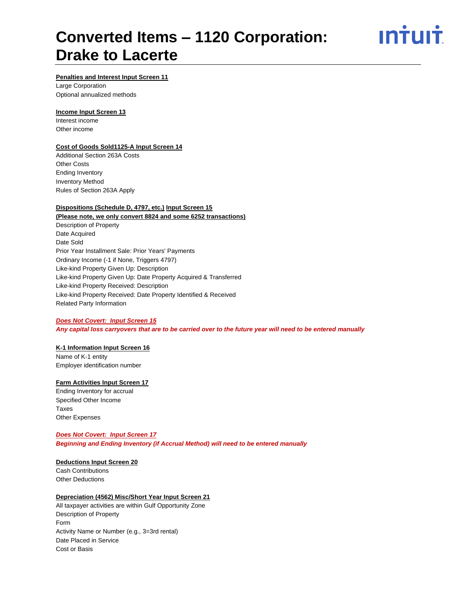

### **Penalties and Interest Input Screen 11**

Large Corporation Optional annualized methods

### **Income Input Screen 13**

Interest income Other income

### **Cost of Goods Sold1125-A Input Screen 14**

Additional Section 263A Costs Other Costs Ending Inventory Inventory Method Rules of Section 263A Apply

### **Dispositions (Schedule D, 4797, etc.) Input Screen 15**

### **(Please note, we only convert 8824 and some 6252 transactions)** Description of Property Date Acquired Date Sold Prior Year Installment Sale: Prior Years' Payments Ordinary Income (-1 if None, Triggers 4797) Like-kind Property Given Up: Description Like-kind Property Given Up: Date Property Acquired & Transferred Like-kind Property Received: Description Like-kind Property Received: Date Property Identified & Received Related Party Information

### *Does Not Covert: Input Screen 15*

*Any capital loss carryovers that are to be carried over to the future year will need to be entered manually*

### **K-1 Information Input Screen 16**

Name of K-1 entity Employer identification number

### **Farm Activities Input Screen 17**

Ending Inventory for accrual Specified Other Income Taxes Other Expenses

### *Does Not Covert: Input Screen 17*

*Beginning and Ending Inventory (if Accrual Method) will need to be entered manually*

### **Deductions Input Screen 20**

Cash Contributions Other Deductions

### **Depreciation (4562) Misc/Short Year Input Screen 21**

All taxpayer activities are within Gulf Opportunity Zone Description of Property Form Activity Name or Number (e.g., 3=3rd rental) Date Placed in Service Cost or Basis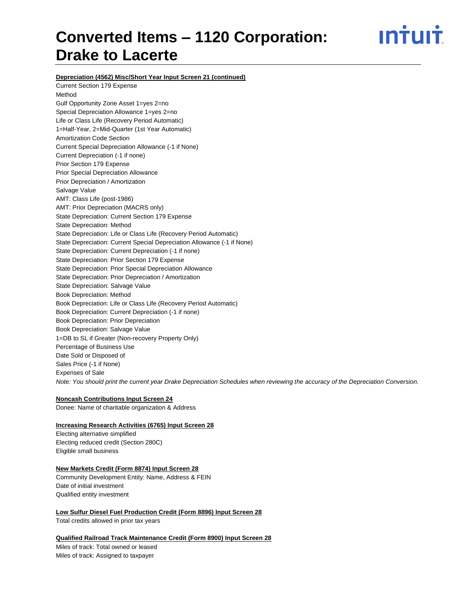ın<del>i</del>uı<del>i</del>

**Depreciation (4562) Misc/Short Year Input Screen 21 (continued)**

Current Section 179 Expense Method Gulf Opportunity Zone Asset 1=yes 2=no Special Depreciation Allowance 1=yes 2=no Life or Class Life (Recovery Period Automatic) 1=Half-Year, 2=Mid-Quarter (1st Year Automatic) Amortization Code Section Current Special Depreciation Allowance (-1 if None) Current Depreciation (-1 if none) Prior Section 179 Expense Prior Special Depreciation Allowance Prior Depreciation / Amortization Salvage Value AMT: Class Life (post-1986) AMT: Prior Depreciation (MACRS only) State Depreciation: Current Section 179 Expense State Depreciation: Method State Depreciation: Life or Class Life (Recovery Period Automatic) State Depreciation: Current Special Depreciation Allowance (-1 if None) State Depreciation: Current Depreciation (-1 if none) State Depreciation: Prior Section 179 Expense State Depreciation: Prior Special Depreciation Allowance State Depreciation: Prior Depreciation / Amortization State Depreciation: Salvage Value Book Depreciation: Method Book Depreciation: Life or Class Life (Recovery Period Automatic) Book Depreciation: Current Depreciation (-1 if none) Book Depreciation: Prior Depreciation Book Depreciation: Salvage Value 1=DB to SL if Greater (Non-recovery Property Only) Percentage of Business Use Date Sold or Disposed of Sales Price (-1 if None) Expenses of Sale *Note: You should print the current year Drake Depreciation Schedules when reviewing the accuracy of the Depreciation Conversion.* 

**Noncash Contributions Input Screen 24** Donee: Name of charitable organization & Address

### **Increasing Research Activities (6765) Input Screen 28**

Electing alternative simplified Electing reduced credit (Section 280C) Eligible small business

### **New Markets Credit (Form 8874) Input Screen 28**

Community Development Entity: Name, Address & FEIN Date of initial investment Qualified entity investment

**Low Sulfur Diesel Fuel Production Credit (Form 8896) Input Screen 28**

Total credits allowed in prior tax years

**Qualified Railroad Track Maintenance Credit (Form 8900) Input Screen 28**

Miles of track: Total owned or leased Miles of track: Assigned to taxpayer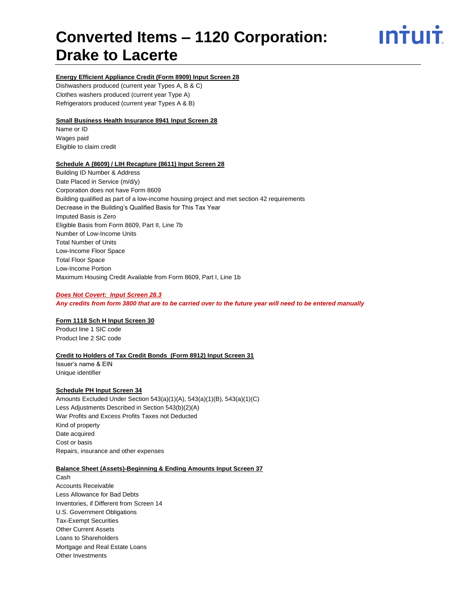# ın<del>i</del>uı<del>i</del>

### **Energy Efficient Appliance Credit (Form 8909) Input Screen 28**

Dishwashers produced (current year Types A, B & C) Clothes washers produced (current year Type A) Refrigerators produced (current year Types A & B)

### **Small Business Health Insurance 8941 Input Screen 28**

Name or ID Wages paid Eligible to claim credit

### **Schedule A (8609) / LIH Recapture (8611) Input Screen 28**

Building ID Number & Address Date Placed in Service (m/d/y) Corporation does not have Form 8609 Building qualified as part of a low-income housing project and met section 42 requirements Decrease in the Building's Qualified Basis for This Tax Year Imputed Basis is Zero Eligible Basis from Form 8609, Part II, Line 7b Number of Low-Income Units Total Number of Units Low-Income Floor Space Total Floor Space Low-Income Portion Maximum Housing Credit Available from Form 8609, Part I, Line 1b

### *Does Not Covert: Input Screen 28.3*

*Any credits from form 3800 that are to be carried over to the future year will need to be entered manually*

### **Form 1118 Sch H Input Screen 30**

Product line 1 SIC code Product line 2 SIC code

### **Credit to Holders of Tax Credit Bonds (Form 8912) Input Screen 31**

Issuer's name & EIN Unique identifier

### **Schedule PH Input Screen 34**

Amounts Excluded Under Section 543(a)(1)(A), 543(a)(1)(B), 543(a)(1)(C) Less Adjustments Described in Section 543(b)(2)(A) War Profits and Excess Profits Taxes not Deducted Kind of property Date acquired Cost or basis Repairs, insurance and other expenses

### **Balance Sheet (Assets)-Beginning & Ending Amounts Input Screen 37**

Cash Accounts Receivable Less Allowance for Bad Debts Inventories, if Different from Screen 14 U.S. Government Obligations Tax-Exempt Securities Other Current Assets Loans to Shareholders Mortgage and Real Estate Loans Other Investments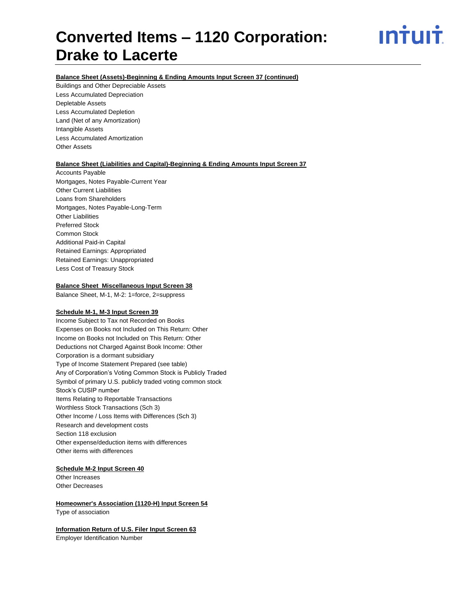<u>ıntuıt</u>

### **Balance Sheet (Assets)-Beginning & Ending Amounts Input Screen 37 (continued)**

Buildings and Other Depreciable Assets Less Accumulated Depreciation Depletable Assets Less Accumulated Depletion Land (Net of any Amortization) Intangible Assets Less Accumulated Amortization Other Assets

### **Balance Sheet (Liabilities and Capital)-Beginning & Ending Amounts Input Screen 37**

Accounts Payable Mortgages, Notes Payable-Current Year Other Current Liabilities Loans from Shareholders Mortgages, Notes Payable-Long-Term Other Liabilities Preferred Stock Common Stock Additional Paid-in Capital Retained Earnings: Appropriated Retained Earnings: Unappropriated Less Cost of Treasury Stock

### **Balance Sheet Miscellaneous Input Screen 38**

Balance Sheet, M-1, M-2: 1=force, 2=suppress

### **Schedule M-1, M-3 Input Screen 39**

Income Subject to Tax not Recorded on Books Expenses on Books not Included on This Return: Other Income on Books not Included on This Return: Other Deductions not Charged Against Book Income: Other Corporation is a dormant subsidiary Type of Income Statement Prepared (see table) Any of Corporation's Voting Common Stock is Publicly Traded Symbol of primary U.S. publicly traded voting common stock Stock's CUSIP number Items Relating to Reportable Transactions Worthless Stock Transactions (Sch 3) Other Income / Loss Items with Differences (Sch 3) Research and development costs Section 118 exclusion Other expense/deduction items with differences Other items with differences

### **Schedule M-2 Input Screen 40**

Other Increases Other Decreases

### **Homeowner's Association (1120-H) Input Screen 54** Type of association

**Information Return of U.S. Filer Input Screen 63**

Employer Identification Number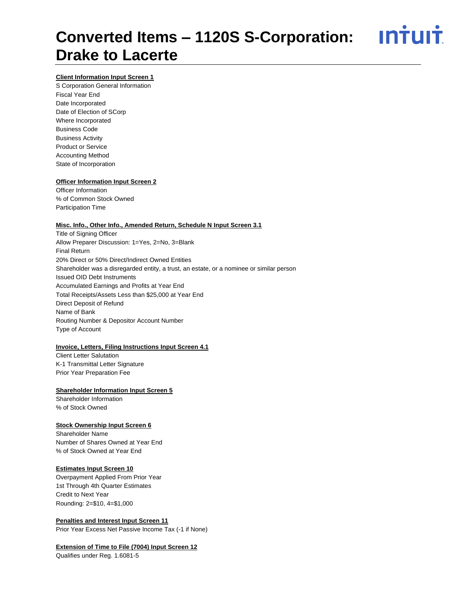### <u>**Intuit**</u> **Converted Items – 1120S S-Corporation: Drake to Lacerte**

### **Client Information Input Screen 1**

S Corporation General Information Fiscal Year End Date Incorporated Date of Election of SCorp Where Incorporated Business Code Business Activity Product or Service Accounting Method State of Incorporation

### **Officer Information Input Screen 2**

Officer Information % of Common Stock Owned Participation Time

### **Misc. Info., Other Info., Amended Return, Schedule N Input Screen 3.1**

Title of Signing Officer Allow Preparer Discussion: 1=Yes, 2=No, 3=Blank Final Return 20% Direct or 50% Direct/Indirect Owned Entities Shareholder was a disregarded entity, a trust, an estate, or a nominee or similar person Issued OID Debt Instruments Accumulated Earnings and Profits at Year End Total Receipts/Assets Less than \$25,000 at Year End Direct Deposit of Refund Name of Bank Routing Number & Depositor Account Number Type of Account

### **Invoice, Letters, Filing Instructions Input Screen 4.1**

Client Letter Salutation K-1 Transmittal Letter Signature Prior Year Preparation Fee

### **Shareholder Information Input Screen 5**

Shareholder Information % of Stock Owned

### **Stock Ownership Input Screen 6**

Shareholder Name Number of Shares Owned at Year End % of Stock Owned at Year End

### **Estimates Input Screen 10**

Overpayment Applied From Prior Year 1st Through 4th Quarter Estimates Credit to Next Year Rounding: 2=\$10, 4=\$1,000

**Penalties and Interest Input Screen 11** Prior Year Excess Net Passive Income Tax (-1 if None)

### **Extension of Time to File (7004) Input Screen 12**

Qualifies under Reg. 1.6081-5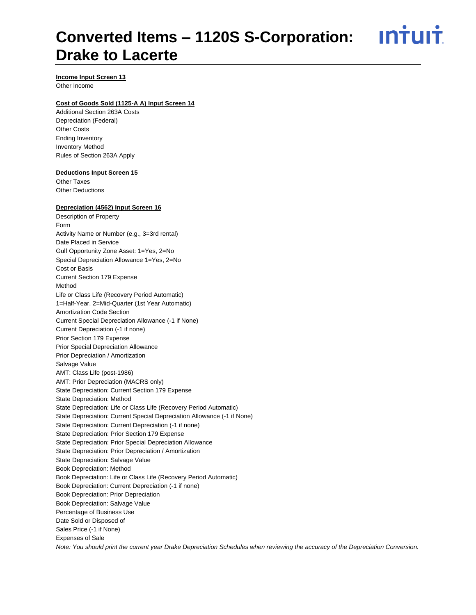### <u>ıntuıt</u> **Converted Items – 1120S S-Corporation: Drake to Lacerte**

**Income Input Screen 13**

Other Income

### **Cost of Goods Sold (1125-A A) Input Screen 14**

Additional Section 263A Costs Depreciation (Federal) Other Costs Ending Inventory Inventory Method Rules of Section 263A Apply

### **Deductions Input Screen 15**

Other Taxes Other Deductions

### **Depreciation (4562) Input Screen 16**

Description of Property Form Activity Name or Number (e.g., 3=3rd rental) Date Placed in Service Gulf Opportunity Zone Asset: 1=Yes, 2=No Special Depreciation Allowance 1=Yes, 2=No Cost or Basis Current Section 179 Expense Method Life or Class Life (Recovery Period Automatic) 1=Half-Year, 2=Mid-Quarter (1st Year Automatic) Amortization Code Section Current Special Depreciation Allowance (-1 if None) Current Depreciation (-1 if none) Prior Section 179 Expense Prior Special Depreciation Allowance Prior Depreciation / Amortization Salvage Value AMT: Class Life (post-1986) AMT: Prior Depreciation (MACRS only) State Depreciation: Current Section 179 Expense State Depreciation: Method State Depreciation: Life or Class Life (Recovery Period Automatic) State Depreciation: Current Special Depreciation Allowance (-1 if None) State Depreciation: Current Depreciation (-1 if none) State Depreciation: Prior Section 179 Expense State Depreciation: Prior Special Depreciation Allowance State Depreciation: Prior Depreciation / Amortization State Depreciation: Salvage Value Book Depreciation: Method Book Depreciation: Life or Class Life (Recovery Period Automatic) Book Depreciation: Current Depreciation (-1 if none) Book Depreciation: Prior Depreciation Book Depreciation: Salvage Value Percentage of Business Use Date Sold or Disposed of Sales Price (-1 if None) Expenses of Sale *Note: You should print the current year Drake Depreciation Schedules when reviewing the accuracy of the Depreciation Conversion.*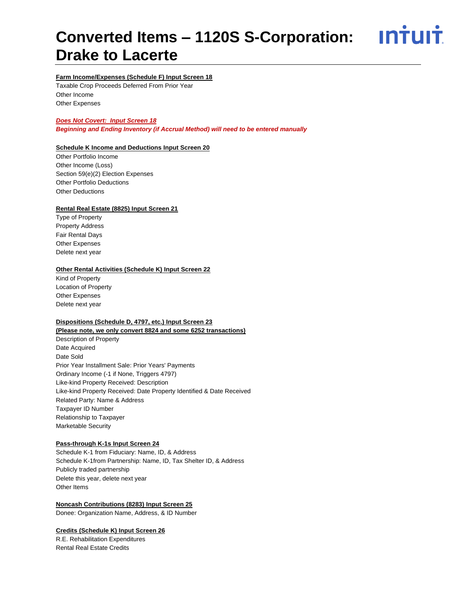<u>**Intuit**</u>

### **Farm Income/Expenses (Schedule F) Input Screen 18**

Taxable Crop Proceeds Deferred From Prior Year Other Income Other Expenses

### *Does Not Covert: Input Screen 18*

*Beginning and Ending Inventory (if Accrual Method) will need to be entered manually*

### **Schedule K Income and Deductions Input Screen 20**

Other Portfolio Income Other Income (Loss) Section 59(e)(2) Election Expenses Other Portfolio Deductions Other Deductions

### **Rental Real Estate (8825) Input Screen 21**

Type of Property Property Address Fair Rental Days Other Expenses Delete next year

### **Other Rental Activities (Schedule K) Input Screen 22**

Kind of Property Location of Property Other Expenses Delete next year

### **Dispositions (Schedule D, 4797, etc.) Input Screen 23**

**(Please note, we only convert 8824 and some 6252 transactions)** Description of Property Date Acquired Date Sold Prior Year Installment Sale: Prior Years' Payments Ordinary Income (-1 if None, Triggers 4797) Like-kind Property Received: Description Like-kind Property Received: Date Property Identified & Date Received Related Party: Name & Address Taxpayer ID Number Relationship to Taxpayer Marketable Security

### **Pass-through K-1s Input Screen 24**

Schedule K-1 from Fiduciary: Name, ID, & Address Schedule K-1from Partnership: Name, ID, Tax Shelter ID, & Address Publicly traded partnership Delete this year, delete next year Other Items

### **Noncash Contributions (8283) Input Screen 25**

Donee: Organization Name, Address, & ID Number

### **Credits (Schedule K) Input Screen 26**

R.E. Rehabilitation Expenditures Rental Real Estate Credits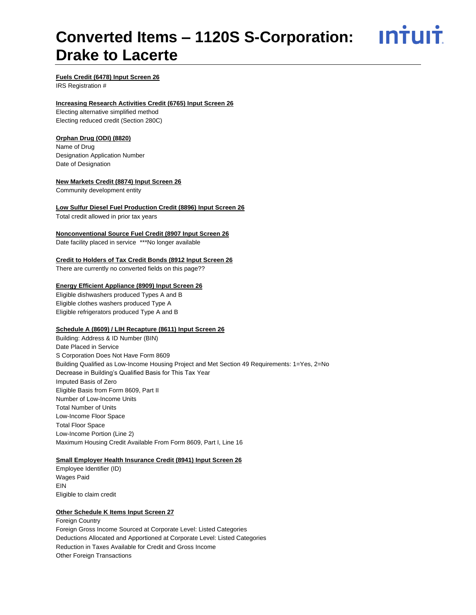ın†uı†

### **Fuels Credit (6478) Input Screen 26**

IRS Registration #

### **Increasing Research Activities Credit (6765) Input Screen 26**

Electing alternative simplified method Electing reduced credit (Section 280C)

### **Orphan Drug (ODI) (8820)**

Name of Drug Designation Application Number Date of Designation

### **New Markets Credit (8874) Input Screen 26**

Community development entity

### **Low Sulfur Diesel Fuel Production Credit (8896) Input Screen 26**

Total credit allowed in prior tax years

### **Nonconventional Source Fuel Credit (8907 Input Screen 26**

Date facility placed in service \*\*\*No longer available

### **Credit to Holders of Tax Credit Bonds (8912 Input Screen 26**

There are currently no converted fields on this page??

### **Energy Efficient Appliance (8909) Input Screen 26**

Eligible dishwashers produced Types A and B Eligible clothes washers produced Type A Eligible refrigerators produced Type A and B

### **Schedule A (8609) / LIH Recapture (8611) Input Screen 26**

Building: Address & ID Number (BIN) Date Placed in Service S Corporation Does Not Have Form 8609 Building Qualified as Low-Income Housing Project and Met Section 49 Requirements: 1=Yes, 2=No Decrease in Building's Qualified Basis for This Tax Year Imputed Basis of Zero Eligible Basis from Form 8609, Part II Number of Low-Income Units Total Number of Units Low-Income Floor Space Total Floor Space Low-Income Portion (Line 2) Maximum Housing Credit Available From Form 8609, Part I, Line 16

### **Small Employer Health Insurance Credit (8941) Input Screen 26**

Employee Identifier (ID) Wages Paid EIN Eligible to claim credit

### **Other Schedule K Items Input Screen 27**

Foreign Country Foreign Gross Income Sourced at Corporate Level: Listed Categories Deductions Allocated and Apportioned at Corporate Level: Listed Categories Reduction in Taxes Available for Credit and Gross Income Other Foreign Transactions